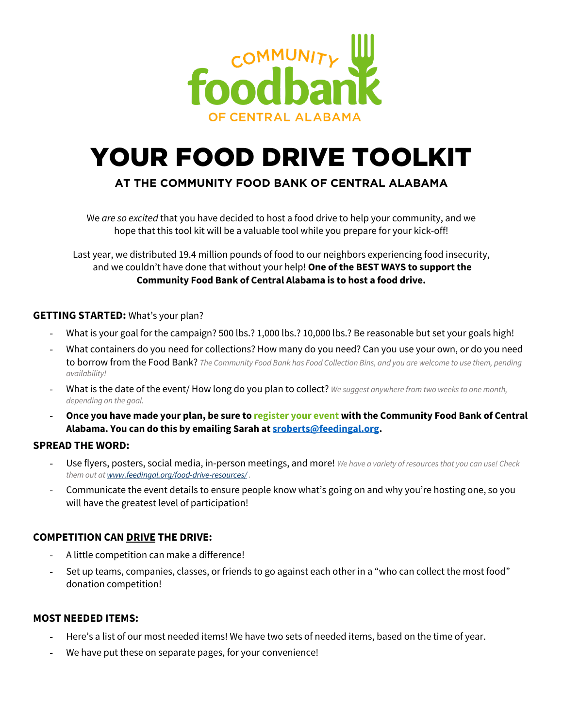

# YOUR FOOD DRIVE TOOLKIT

### **AT THE COMMUNITY FOOD BANK OF CENTRAL ALABAMA**

We *are so excited* that you have decided to host a food drive to help your community, and we hope that this tool kit will be a valuable tool while you prepare for your kick-off!

Last year, we distributed 19.4 million pounds of food to our neighbors experiencing food insecurity, and we couldn't have done that without your help! **One of the BEST WAYS to support the Community Food Bank of Central Alabama is to host a food drive.**

#### **GETTING STARTED:** What's your plan?

- What is your goal for the campaign? 500 lbs.? 1,000 lbs.? 10,000 lbs.? Be reasonable but set your goals high!
- What containers do you need for collections? How many do you need? Can you use your own, or do you need to borrow from the Food Bank? *The Community Food Bank has Food Collection Bins, and you are welcome to use them, pending availability!*
- What is the date of the event/ How long do you plan to collect? *We suggest anywhere from two weeks to one month, depending on the goal.*
- **Once you have made your plan, be sure to register your event with the Community Food Bank of Central Alabama. You can do this by emailing Sarah at sroberts@feedingal.org.**

#### **SPREAD THE WORD:**

- Use flyers, posters, social media, in-person meetings, and more! *We have a variety of resources that you can use! Check them out at www.feedingal.org/food-drive-resources/ .*
- Communicate the event details to ensure people know what's going on and why you're hosting one, so you will have the greatest level of participation!

#### **COMPETITION CAN DRIVE THE DRIVE:**

- A little competition can make a difference!
- Set up teams, companies, classes, or friends to go against each other in a "who can collect the most food" donation competition!

#### **MOST NEEDED ITEMS:**

- Here's a list of our most needed items! We have two sets of needed items, based on the time of year.
- We have put these on separate pages, for your convenience!